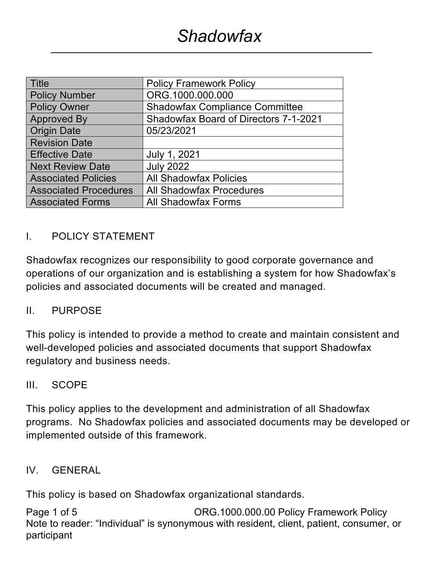| <b>Title</b>                 | <b>Policy Framework Policy</b>               |  |
|------------------------------|----------------------------------------------|--|
| <b>Policy Number</b>         | ORG.1000.000.000                             |  |
| <b>Policy Owner</b>          | <b>Shadowfax Compliance Committee</b>        |  |
| <b>Approved By</b>           | <b>Shadowfax Board of Directors 7-1-2021</b> |  |
| <b>Origin Date</b>           | 05/23/2021                                   |  |
| <b>Revision Date</b>         |                                              |  |
| <b>Effective Date</b>        | July 1, 2021                                 |  |
| <b>Next Review Date</b>      | <b>July 2022</b>                             |  |
| <b>Associated Policies</b>   | <b>All Shadowfax Policies</b>                |  |
| <b>Associated Procedures</b> | <b>All Shadowfax Procedures</b>              |  |
| <b>Associated Forms</b>      | <b>All Shadowfax Forms</b>                   |  |

## I. POLICY STATEMENT

Shadowfax recognizes our responsibility to good corporate governance and operations of our organization and is establishing a system for how Shadowfax's policies and associated documents will be created and managed.

#### II. PURPOSE

This policy is intended to provide a method to create and maintain consistent and well-developed policies and associated documents that support Shadowfax regulatory and business needs.

#### III. SCOPE

This policy applies to the development and administration of all Shadowfax programs. No Shadowfax policies and associated documents may be developed or implemented outside of this framework.

#### IV. GENERAL

This policy is based on Shadowfax organizational standards.

Page 1 of 5 Case CRG.1000.000.00 Policy Framework Policy Note to reader: "Individual" is synonymous with resident, client, patient, consumer, or participant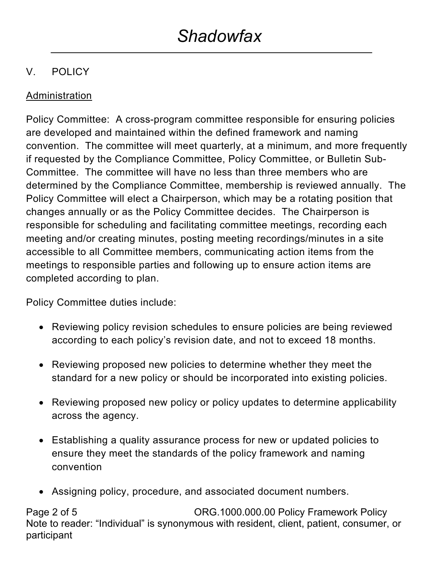# V. POLICY

## Administration

Policy Committee: A cross-program committee responsible for ensuring policies are developed and maintained within the defined framework and naming convention. The committee will meet quarterly, at a minimum, and more frequently if requested by the Compliance Committee, Policy Committee, or Bulletin Sub-Committee. The committee will have no less than three members who are determined by the Compliance Committee, membership is reviewed annually. The Policy Committee will elect a Chairperson, which may be a rotating position that changes annually or as the Policy Committee decides. The Chairperson is responsible for scheduling and facilitating committee meetings, recording each meeting and/or creating minutes, posting meeting recordings/minutes in a site accessible to all Committee members, communicating action items from the meetings to responsible parties and following up to ensure action items are completed according to plan.

Policy Committee duties include:

- Reviewing policy revision schedules to ensure policies are being reviewed according to each policy's revision date, and not to exceed 18 months.
- Reviewing proposed new policies to determine whether they meet the standard for a new policy or should be incorporated into existing policies.
- Reviewing proposed new policy or policy updates to determine applicability across the agency.
- Establishing a quality assurance process for new or updated policies to ensure they meet the standards of the policy framework and naming convention
- Assigning policy, procedure, and associated document numbers.

Page 2 of 5 Case Corp. 2006.1000.000.000 Policy Framework Policy Note to reader: "Individual" is synonymous with resident, client, patient, consumer, or participant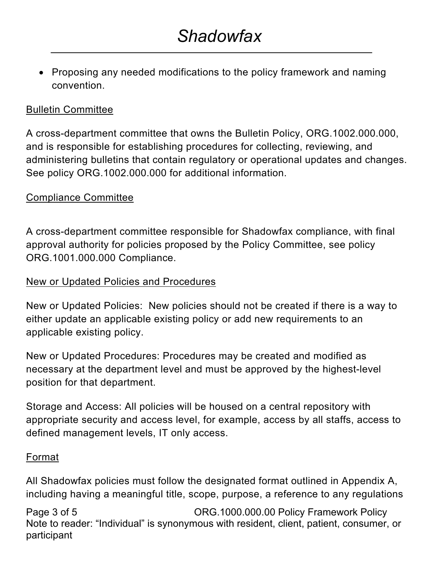• Proposing any needed modifications to the policy framework and naming convention.

### Bulletin Committee

A cross-department committee that owns the Bulletin Policy, ORG.1002.000.000, and is responsible for establishing procedures for collecting, reviewing, and administering bulletins that contain regulatory or operational updates and changes. See policy ORG.1002.000.000 for additional information.

## Compliance Committee

A cross-department committee responsible for Shadowfax compliance, with final approval authority for policies proposed by the Policy Committee, see policy ORG.1001.000.000 Compliance.

### New or Updated Policies and Procedures

New or Updated Policies: New policies should not be created if there is a way to either update an applicable existing policy or add new requirements to an applicable existing policy.

New or Updated Procedures: Procedures may be created and modified as necessary at the department level and must be approved by the highest-level position for that department.

Storage and Access: All policies will be housed on a central repository with appropriate security and access level, for example, access by all staffs, access to defined management levels, IT only access.

### Format

All Shadowfax policies must follow the designated format outlined in Appendix A, including having a meaningful title, scope, purpose, a reference to any regulations

Page 3 of 5 Case Corp. 2006.1000.000.000 Policy Framework Policy Note to reader: "Individual" is synonymous with resident, client, patient, consumer, or participant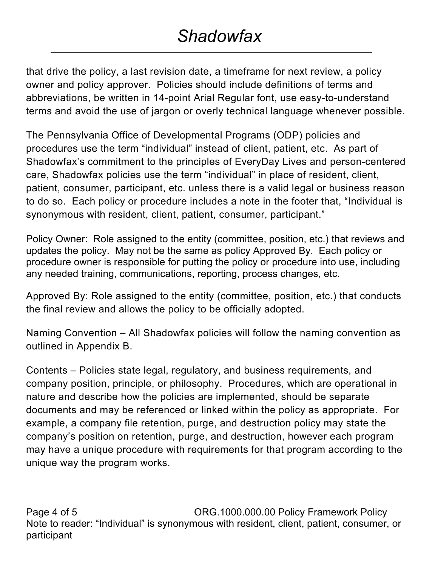# *Shadowfax*

that drive the policy, a last revision date, a timeframe for next review, a policy owner and policy approver. Policies should include definitions of terms and abbreviations, be written in 14-point Arial Regular font, use easy-to-understand terms and avoid the use of jargon or overly technical language whenever possible.

The Pennsylvania Office of Developmental Programs (ODP) policies and procedures use the term "individual" instead of client, patient, etc. As part of Shadowfax's commitment to the principles of EveryDay Lives and person-centered care, Shadowfax policies use the term "individual" in place of resident, client, patient, consumer, participant, etc. unless there is a valid legal or business reason to do so. Each policy or procedure includes a note in the footer that, "Individual is synonymous with resident, client, patient, consumer, participant."

Policy Owner: Role assigned to the entity (committee, position, etc.) that reviews and updates the policy. May not be the same as policy Approved By. Each policy or procedure owner is responsible for putting the policy or procedure into use, including any needed training, communications, reporting, process changes, etc.

Approved By: Role assigned to the entity (committee, position, etc.) that conducts the final review and allows the policy to be officially adopted.

Naming Convention – All Shadowfax policies will follow the naming convention as outlined in Appendix B.

Contents – Policies state legal, regulatory, and business requirements, and company position, principle, or philosophy. Procedures, which are operational in nature and describe how the policies are implemented, should be separate documents and may be referenced or linked within the policy as appropriate. For example, a company file retention, purge, and destruction policy may state the company's position on retention, purge, and destruction, however each program may have a unique procedure with requirements for that program according to the unique way the program works.

Page 4 of 5 ORG.1000.000.00 Policy Framework Policy Note to reader: "Individual" is synonymous with resident, client, patient, consumer, or participant